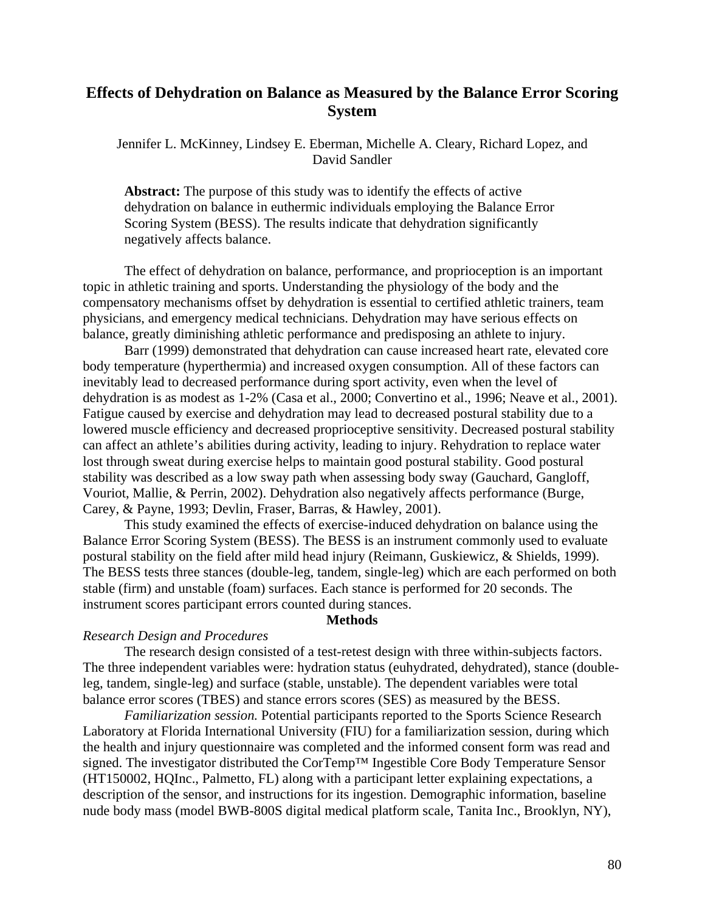# **Effects of Dehydration on Balance as Measured by the Balance Error Scoring System**

Jennifer L. McKinney, Lindsey E. Eberman, Michelle A. Cleary, Richard Lopez, and David Sandler

**Abstract:** The purpose of this study was to identify the effects of active dehydration on balance in euthermic individuals employing the Balance Error Scoring System (BESS). The results indicate that dehydration significantly negatively affects balance.

The effect of dehydration on balance, performance, and proprioception is an important topic in athletic training and sports. Understanding the physiology of the body and the compensatory mechanisms offset by dehydration is essential to certified athletic trainers, team physicians, and emergency medical technicians. Dehydration may have serious effects on balance, greatly diminishing athletic performance and predisposing an athlete to injury.

Barr (1999) demonstrated that dehydration can cause increased heart rate, elevated core body temperature (hyperthermia) and increased oxygen consumption. All of these factors can inevitably lead to decreased performance during sport activity, even when the level of dehydration is as modest as 1-2% (Casa et al., 2000; Convertino et al., 1996; Neave et al., 2001). Fatigue caused by exercise and dehydration may lead to decreased postural stability due to a lowered muscle efficiency and decreased proprioceptive sensitivity. Decreased postural stability can affect an athlete's abilities during activity, leading to injury. Rehydration to replace water lost through sweat during exercise helps to maintain good postural stability. Good postural stability was described as a low sway path when assessing body sway (Gauchard, Gangloff, Vouriot, Mallie, & Perrin, 2002). Dehydration also negatively affects performance (Burge, Carey, & Payne, 1993; Devlin, Fraser, Barras, & Hawley, 2001).

This study examined the effects of exercise-induced dehydration on balance using the Balance Error Scoring System (BESS). The BESS is an instrument commonly used to evaluate postural stability on the field after mild head injury (Reimann, Guskiewicz, & Shields, 1999). The BESS tests three stances (double-leg, tandem, single-leg) which are each performed on both stable (firm) and unstable (foam) surfaces. Each stance is performed for 20 seconds. The instrument scores participant errors counted during stances.

### **Methods**

### *Research Design and Procedures*

The research design consisted of a test-retest design with three within-subjects factors. The three independent variables were: hydration status (euhydrated, dehydrated), stance (doubleleg, tandem, single-leg) and surface (stable, unstable). The dependent variables were total balance error scores (TBES) and stance errors scores (SES) as measured by the BESS.

 *Familiarization session.* Potential participants reported to the Sports Science Research Laboratory at Florida International University (FIU) for a familiarization session, during which the health and injury questionnaire was completed and the informed consent form was read and signed. The investigator distributed the CorTemp™ Ingestible Core Body Temperature Sensor (HT150002, HQInc., Palmetto, FL) along with a participant letter explaining expectations, a description of the sensor, and instructions for its ingestion. Demographic information, baseline nude body mass (model BWB-800S digital medical platform scale, Tanita Inc., Brooklyn, NY),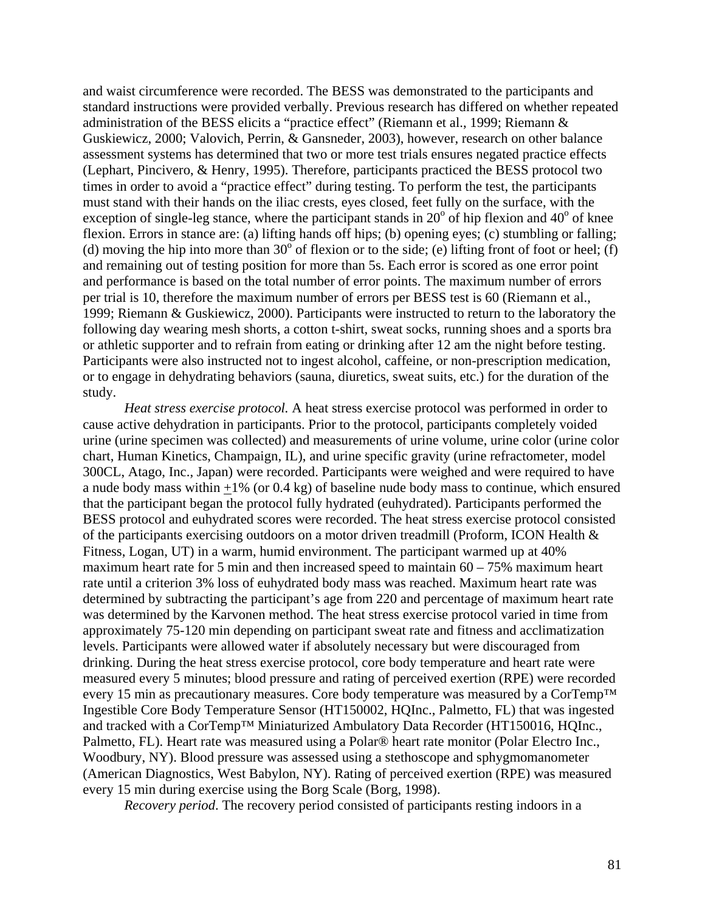and waist circumference were recorded. The BESS was demonstrated to the participants and standard instructions were provided verbally. Previous research has differed on whether repeated administration of the BESS elicits a "practice effect" (Riemann et al., 1999; Riemann & Guskiewicz, 2000; Valovich, Perrin, & Gansneder, 2003), however, research on other balance assessment systems has determined that two or more test trials ensures negated practice effects (Lephart, Pincivero, & Henry, 1995). Therefore, participants practiced the BESS protocol two times in order to avoid a "practice effect" during testing. To perform the test, the participants must stand with their hands on the iliac crests, eyes closed, feet fully on the surface, with the exception of single-leg stance, where the participant stands in  $20^{\circ}$  of hip flexion and  $40^{\circ}$  of knee flexion. Errors in stance are: (a) lifting hands off hips; (b) opening eyes; (c) stumbling or falling; (d) moving the hip into more than 30 $\degree$  of flexion or to the side; (e) lifting front of foot or heel; (f) and remaining out of testing position for more than 5s. Each error is scored as one error point and performance is based on the total number of error points. The maximum number of errors per trial is 10, therefore the maximum number of errors per BESS test is 60 (Riemann et al., 1999; Riemann & Guskiewicz, 2000). Participants were instructed to return to the laboratory the following day wearing mesh shorts, a cotton t-shirt, sweat socks, running shoes and a sports bra or athletic supporter and to refrain from eating or drinking after 12 am the night before testing. Participants were also instructed not to ingest alcohol, caffeine, or non-prescription medication, or to engage in dehydrating behaviors (sauna, diuretics, sweat suits, etc.) for the duration of the study.

*Heat stress exercise protocol.* A heat stress exercise protocol was performed in order to cause active dehydration in participants. Prior to the protocol, participants completely voided urine (urine specimen was collected) and measurements of urine volume, urine color (urine color chart, Human Kinetics, Champaign, IL), and urine specific gravity (urine refractometer, model 300CL, Atago, Inc., Japan) were recorded. Participants were weighed and were required to have a nude body mass within +1% (or 0.4 kg) of baseline nude body mass to continue, which ensured that the participant began the protocol fully hydrated (euhydrated). Participants performed the BESS protocol and euhydrated scores were recorded. The heat stress exercise protocol consisted of the participants exercising outdoors on a motor driven treadmill (Proform, ICON Health & Fitness, Logan, UT) in a warm, humid environment. The participant warmed up at 40% maximum heart rate for 5 min and then increased speed to maintain  $60 - 75\%$  maximum heart rate until a criterion 3% loss of euhydrated body mass was reached. Maximum heart rate was determined by subtracting the participant's age from 220 and percentage of maximum heart rate was determined by the Karvonen method. The heat stress exercise protocol varied in time from approximately 75-120 min depending on participant sweat rate and fitness and acclimatization levels. Participants were allowed water if absolutely necessary but were discouraged from drinking. During the heat stress exercise protocol, core body temperature and heart rate were measured every 5 minutes; blood pressure and rating of perceived exertion (RPE) were recorded every 15 min as precautionary measures. Core body temperature was measured by a CorTemp<sup>™</sup> Ingestible Core Body Temperature Sensor (HT150002, HQInc., Palmetto, FL) that was ingested and tracked with a CorTemp™ Miniaturized Ambulatory Data Recorder (HT150016, HQInc., Palmetto, FL). Heart rate was measured using a Polar® heart rate monitor (Polar Electro Inc., Woodbury, NY). Blood pressure was assessed using a stethoscope and sphygmomanometer (American Diagnostics, West Babylon, NY). Rating of perceived exertion (RPE) was measured every 15 min during exercise using the Borg Scale (Borg, 1998).

*Recovery period*. The recovery period consisted of participants resting indoors in a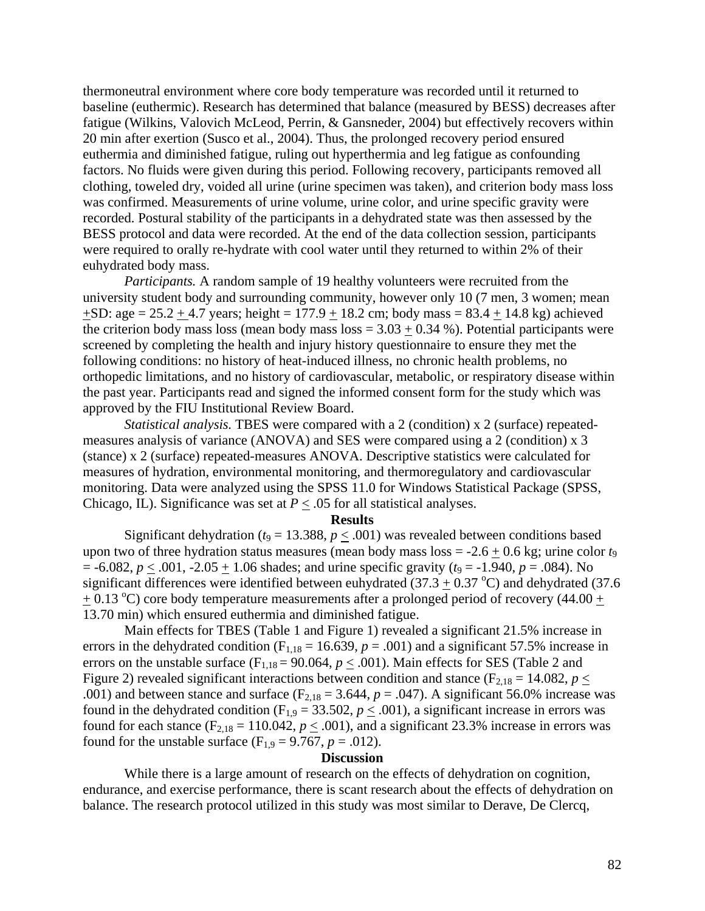thermoneutral environment where core body temperature was recorded until it returned to baseline (euthermic). Research has determined that balance (measured by BESS) decreases after fatigue (Wilkins, Valovich McLeod, Perrin, & Gansneder, 2004) but effectively recovers within 20 min after exertion (Susco et al., 2004). Thus, the prolonged recovery period ensured euthermia and diminished fatigue, ruling out hyperthermia and leg fatigue as confounding factors. No fluids were given during this period. Following recovery, participants removed all clothing, toweled dry, voided all urine (urine specimen was taken), and criterion body mass loss was confirmed. Measurements of urine volume, urine color, and urine specific gravity were recorded. Postural stability of the participants in a dehydrated state was then assessed by the BESS protocol and data were recorded. At the end of the data collection session, participants were required to orally re-hydrate with cool water until they returned to within 2% of their euhydrated body mass.

 *Participants.* A random sample of 19 healthy volunteers were recruited from the university student body and surrounding community, however only 10 (7 men, 3 women; mean  $+SD: age = 25.2 + 4.7$  years; height = 177.9 + 18.2 cm; body mass = 83.4 + 14.8 kg) achieved the criterion body mass loss (mean body mass loss  $= 3.03 + 0.34$  %). Potential participants were screened by completing the health and injury history questionnaire to ensure they met the following conditions: no history of heat-induced illness, no chronic health problems, no orthopedic limitations, and no history of cardiovascular, metabolic, or respiratory disease within the past year. Participants read and signed the informed consent form for the study which was approved by the FIU Institutional Review Board.

*Statistical analysis.* TBES were compared with a 2 (condition) x 2 (surface) repeatedmeasures analysis of variance (ANOVA) and SES were compared using a 2 (condition) x 3 (stance) x 2 (surface) repeated-measures ANOVA. Descriptive statistics were calculated for measures of hydration, environmental monitoring, and thermoregulatory and cardiovascular monitoring. Data were analyzed using the SPSS 11.0 for Windows Statistical Package (SPSS, Chicago, IL). Significance was set at  $P \leq .05$  for all statistical analyses.

#### **Results**

Significant dehydration ( $t_9 = 13.388$ ,  $p \leq .001$ ) was revealed between conditions based upon two of three hydration status measures (mean body mass loss = -2.6 + 0.6 kg; urine color *t*<sup>9</sup>  $=$  -6.082,  $p \leq .001$ , -2.05  $\pm$  1.06 shades; and urine specific gravity ( $t_9$  = -1.940,  $p = .084$ ). No significant differences were identified between euhydrated (37.3  $\pm$  0.37 °C) and dehydrated (37.6  $+$  0.13 °C) core body temperature measurements after a prolonged period of recovery (44.00  $+$ 13.70 min) which ensured euthermia and diminished fatigue.

Main effects for TBES (Table 1 and Figure 1) revealed a significant 21.5% increase in errors in the dehydrated condition ( $F_{1,18} = 16.639$ ,  $p = .001$ ) and a significant 57.5% increase in errors on the unstable surface ( $F_{1,18} = 90.064$ ,  $p \leq .001$ ). Main effects for SES (Table 2 and Figure 2) revealed significant interactions between condition and stance ( $F_{2,18} = 14.082$ ,  $p <$ .001) and between stance and surface  $(F_{2,18} = 3.644, p = .047)$ . A significant 56.0% increase was found in the dehydrated condition ( $F_{1,9} = 33.502$ ,  $p \le .001$ ), a significant increase in errors was found for each stance ( $F_{2,18} = 110.042$ ,  $p \le 0.001$ ), and a significant 23.3% increase in errors was found for the unstable surface  $(F_{1,9} = 9.767, p = .012)$ .

### **Discussion**

While there is a large amount of research on the effects of dehydration on cognition, endurance, and exercise performance, there is scant research about the effects of dehydration on balance. The research protocol utilized in this study was most similar to Derave, De Clercq,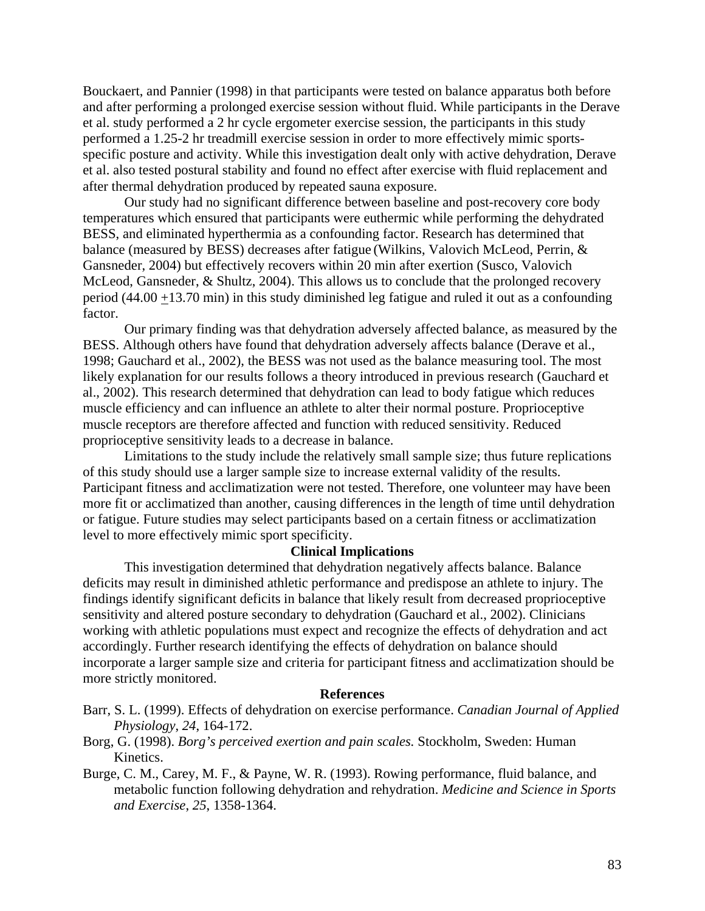Bouckaert, and Pannier (1998) in that participants were tested on balance apparatus both before and after performing a prolonged exercise session without fluid. While participants in the Derave et al. study performed a 2 hr cycle ergometer exercise session, the participants in this study performed a 1.25-2 hr treadmill exercise session in order to more effectively mimic sportsspecific posture and activity. While this investigation dealt only with active dehydration, Derave et al. also tested postural stability and found no effect after exercise with fluid replacement and after thermal dehydration produced by repeated sauna exposure.

Our study had no significant difference between baseline and post-recovery core body temperatures which ensured that participants were euthermic while performing the dehydrated BESS, and eliminated hyperthermia as a confounding factor. Research has determined that balance (measured by BESS) decreases after fatigue (Wilkins, Valovich McLeod, Perrin, & Gansneder, 2004) but effectively recovers within 20 min after exertion (Susco, Valovich McLeod, Gansneder, & Shultz, 2004). This allows us to conclude that the prolonged recovery period (44.00  $\pm$ 13.70 min) in this study diminished leg fatigue and ruled it out as a confounding factor.

Our primary finding was that dehydration adversely affected balance, as measured by the BESS. Although others have found that dehydration adversely affects balance (Derave et al., 1998; Gauchard et al., 2002), the BESS was not used as the balance measuring tool. The most likely explanation for our results follows a theory introduced in previous research (Gauchard et al., 2002). This research determined that dehydration can lead to body fatigue which reduces muscle efficiency and can influence an athlete to alter their normal posture. Proprioceptive muscle receptors are therefore affected and function with reduced sensitivity. Reduced proprioceptive sensitivity leads to a decrease in balance.

Limitations to the study include the relatively small sample size; thus future replications of this study should use a larger sample size to increase external validity of the results. Participant fitness and acclimatization were not tested. Therefore, one volunteer may have been more fit or acclimatized than another, causing differences in the length of time until dehydration or fatigue. Future studies may select participants based on a certain fitness or acclimatization level to more effectively mimic sport specificity.

## **Clinical Implications**

This investigation determined that dehydration negatively affects balance. Balance deficits may result in diminished athletic performance and predispose an athlete to injury. The findings identify significant deficits in balance that likely result from decreased proprioceptive sensitivity and altered posture secondary to dehydration (Gauchard et al., 2002). Clinicians working with athletic populations must expect and recognize the effects of dehydration and act accordingly. Further research identifying the effects of dehydration on balance should incorporate a larger sample size and criteria for participant fitness and acclimatization should be more strictly monitored.

### **References**

- Barr, S. L. (1999). Effects of dehydration on exercise performance. *Canadian Journal of Applied Physiology*, *24*, 164-172.
- Borg, G. (1998). *Borg's perceived exertion and pain scales.* Stockholm, Sweden: Human Kinetics.
- Burge, C. M., Carey, M. F., & Payne, W. R. (1993). Rowing performance, fluid balance, and metabolic function following dehydration and rehydration. *Medicine and Science in Sports and Exercise*, *25*, 1358-1364.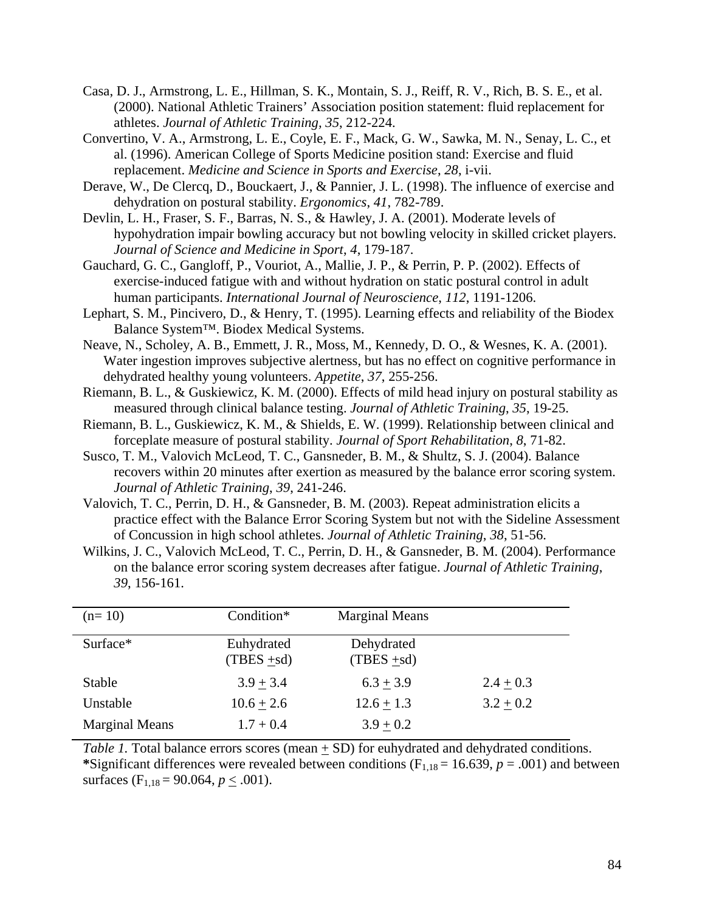- Casa, D. J., Armstrong, L. E., Hillman, S. K., Montain, S. J., Reiff, R. V., Rich, B. S. E., et al. (2000). National Athletic Trainers' Association position statement: fluid replacement for athletes. *Journal of Athletic Training, 35*, 212-224.
- Convertino, V. A., Armstrong, L. E., Coyle, E. F., Mack, G. W., Sawka, M. N., Senay, L. C., et al. (1996). American College of Sports Medicine position stand: Exercise and fluid replacement. *Medicine and Science in Sports and Exercise*, *28*, i-vii.
- Derave, W., De Clercq, D., Bouckaert, J., & Pannier, J. L. (1998). The influence of exercise and dehydration on postural stability. *Ergonomics*, *41*, 782-789.
- Devlin, L. H., Fraser, S. F., Barras, N. S., & Hawley, J. A. (2001). Moderate levels of hypohydration impair bowling accuracy but not bowling velocity in skilled cricket players. *Journal of Science and Medicine in Sport*, *4*, 179-187.
- Gauchard, G. C., Gangloff, P., Vouriot, A., Mallie, J. P., & Perrin, P. P. (2002). Effects of exercise-induced fatigue with and without hydration on static postural control in adult human participants. *International Journal of Neuroscience*, *112*, 1191-1206.
- Lephart, S. M., Pincivero, D., & Henry, T. (1995). Learning effects and reliability of the Biodex Balance System™. Biodex Medical Systems.
- Neave, N., Scholey, A. B., Emmett, J. R., Moss, M., Kennedy, D. O., & Wesnes, K. A. (2001). Water ingestion improves subjective alertness, but has no effect on cognitive performance in dehydrated healthy young volunteers. *Appetite*, *37*, 255-256.
- Riemann, B. L., & Guskiewicz, K. M. (2000). Effects of mild head injury on postural stability as measured through clinical balance testing. *Journal of Athletic Training*, *35*, 19-25.
- Riemann, B. L., Guskiewicz, K. M., & Shields, E. W. (1999). Relationship between clinical and forceplate measure of postural stability. *Journal of Sport Rehabilitation*, *8*, 71-82.
- Susco, T. M., Valovich McLeod, T. C., Gansneder, B. M., & Shultz, S. J. (2004). Balance recovers within 20 minutes after exertion as measured by the balance error scoring system. *Journal of Athletic Training*, *39*, 241-246.
- Valovich, T. C., Perrin, D. H., & Gansneder, B. M. (2003). Repeat administration elicits a practice effect with the Balance Error Scoring System but not with the Sideline Assessment of Concussion in high school athletes. *Journal of Athletic Training*, *38*, 51-56.
- Wilkins, J. C., Valovich McLeod, T. C., Perrin, D. H., & Gansneder, B. M. (2004). Performance on the balance error scoring system decreases after fatigue. *Journal of Athletic Training*, *39*, 156-161.

| $(n=10)$              | Condition*                  | <b>Marginal Means</b>       |               |
|-----------------------|-----------------------------|-----------------------------|---------------|
| Surface*              | Euhydrated<br>$(TBES + sd)$ | Dehydrated<br>$(TBES + sd)$ |               |
| <b>Stable</b>         | $3.9 + 3.4$                 | $6.3 + 3.9$                 | $2.4 \pm 0.3$ |
| Unstable              | $10.6 + 2.6$                | $12.6 + 1.3$                | $3.2 + 0.2$   |
| <b>Marginal Means</b> | $1.7 + 0.4$                 | $3.9 + 0.2$                 |               |

*Table 1.* Total balance errors scores (mean + SD) for euhydrated and dehydrated conditions. \*Significant differences were revealed between conditions ( $F_{1,18} = 16.639$ ,  $p = .001$ ) and between surfaces  $(F_{1,18} = 90.064, p < .001)$ .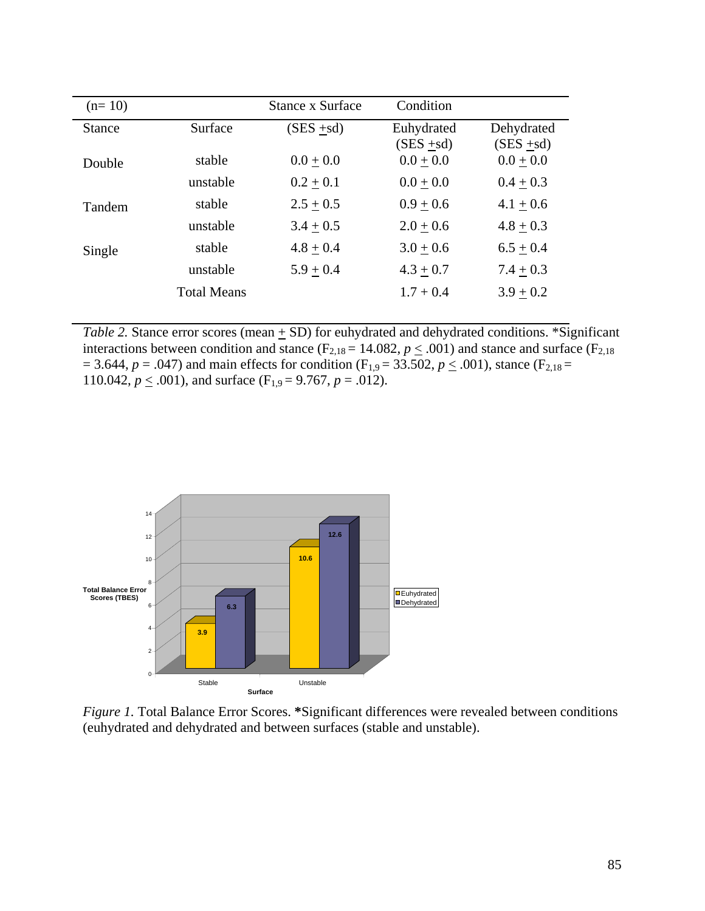| $(n=10)$      |                    | Stance x Surface | Condition     |               |
|---------------|--------------------|------------------|---------------|---------------|
| <b>Stance</b> | Surface            | $(SES + sd)$     | Euhydrated    | Dehydrated    |
|               |                    |                  | $(SES + sd)$  | $(SES + sd)$  |
| Double        | stable             | $0.0 + 0.0$      | $0.0 \pm 0.0$ | $0.0 \pm 0.0$ |
|               | unstable           | $0.2 + 0.1$      | $0.0 + 0.0$   | $0.4 + 0.3$   |
| Tandem        | stable             | $2.5 + 0.5$      | $0.9 + 0.6$   | $4.1 + 0.6$   |
|               | unstable           | $3.4 + 0.5$      | $2.0 + 0.6$   | $4.8 + 0.3$   |
| Single        | stable             | $4.8 + 0.4$      | $3.0 + 0.6$   | $6.5 + 0.4$   |
|               | unstable           | $5.9 + 0.4$      | $4.3 + 0.7$   | $7.4 + 0.3$   |
|               | <b>Total Means</b> |                  | $1.7 + 0.4$   | $3.9 + 0.2$   |
|               |                    |                  |               |               |

*Table 2.* Stance error scores (mean  $\pm$  SD) for euhydrated and dehydrated conditions. \*Significant interactions between condition and stance ( $F_{2,18} = 14.082$ ,  $p \le .001$ ) and stance and surface ( $F_{2,18}$ )  $= 3.644, p = .047$ ) and main effects for condition (F<sub>1,9</sub> = 33.502,  $p \le .001$ ), stance (F<sub>2,18</sub> = 110.042,  $p \leq .001$ ), and surface (F<sub>1,9</sub> = 9.767,  $p = .012$ ).



*Figure 1.* Total Balance Error Scores. **\***Significant differences were revealed between conditions (euhydrated and dehydrated and between surfaces (stable and unstable).